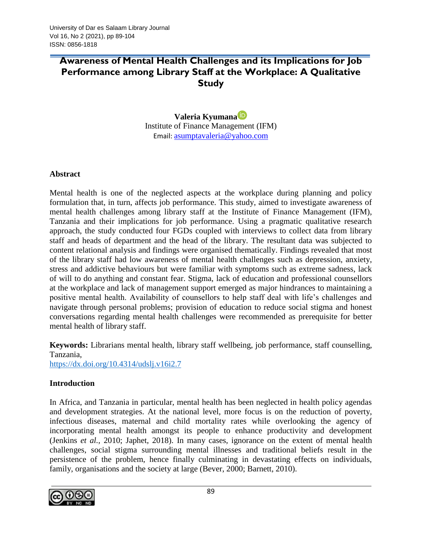# **Awareness of Mental Health Challenges and its Implications for Job Performance among Library Staff at the Workplace: A Qualitative Study**

# **Valeria Kyumana** Institute of Finance Management (IFM) Email: [asumptavaleria@yahoo.com](about:blank)

## **Abstract**

Mental health is one of the neglected aspects at the workplace during planning and policy formulation that, in turn, affects job performance. This study, aimed to investigate awareness of mental health challenges among library staff at the Institute of Finance Management (IFM), Tanzania and their implications for job performance. Using a pragmatic qualitative research approach, the study conducted four FGDs coupled with interviews to collect data from library staff and heads of department and the head of the library. The resultant data was subjected to content relational analysis and findings were organised thematically. Findings revealed that most of the library staff had low awareness of mental health challenges such as depression, anxiety, stress and addictive behaviours but were familiar with symptoms such as extreme sadness, lack of will to do anything and constant fear. Stigma, lack of education and professional counsellors at the workplace and lack of management support emerged as major hindrances to maintaining a positive mental health. Availability of counsellors to help staff deal with life's challenges and navigate through personal problems; provision of education to reduce social stigma and honest conversations regarding mental health challenges were recommended as prerequisite for better mental health of library staff.

**Keywords:** Librarians mental health, library staff wellbeing, job performance, staff counselling, Tanzania,

<https://dx.doi.org/10.4314/udslj.v16i2.7>

## **Introduction**

In Africa, and Tanzania in particular, mental health has been neglected in health policy agendas and development strategies. At the national level, more focus is on the reduction of poverty, infectious diseases, maternal and child mortality rates while overlooking the agency of incorporating mental health amongst its people to enhance productivity and development (Jenkins *et al.,* 2010; Japhet, 2018). In many cases, ignorance on the extent of mental health challenges, social stigma surrounding mental illnesses and traditional beliefs result in the persistence of the problem, hence finally culminating in devastating effects on individuals, family, organisations and the society at large (Bever, 2000; Barnett, 2010).

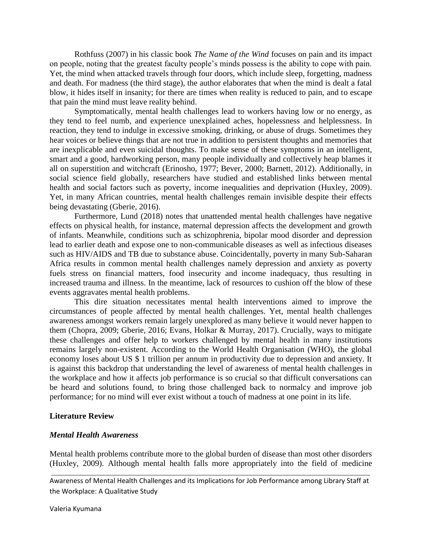Rothfuss (2007) in his classic book *The Name of the Wind* focuses on pain and its impact on people, noting that the greatest faculty people's minds possess is the ability to cope with pain. Yet, the mind when attacked travels through four doors, which include sleep, forgetting, madness and death. For madness (the third stage), the author elaborates that when the mind is dealt a fatal blow, it hides itself in insanity; for there are times when reality is reduced to pain, and to escape that pain the mind must leave reality behind.

Symptomatically, mental health challenges lead to workers having low or no energy, as they tend to feel numb, and experience unexplained aches, hopelessness and helplessness. In reaction, they tend to indulge in excessive smoking, drinking, or abuse of drugs. Sometimes they hear voices or believe things that are not true in addition to persistent thoughts and memories that are inexplicable and even suicidal thoughts. To make sense of these symptoms in an intelligent, smart and a good, hardworking person, many people individually and collectively heap blames it all on superstition and witchcraft (Erinosho, 1977; Bever, 2000; Barnett, 2012). Additionally, in social science field globally, researchers have studied and established links between mental health and social factors such as poverty, income inequalities and deprivation (Huxley, 2009). Yet, in many African countries, mental health challenges remain invisible despite their effects being devastating (Gberie, 2016).

Furthermore, Lund (2018) notes that unattended mental health challenges have negative effects on physical health, for instance, maternal depression affects the development and growth of infants. Meanwhile, conditions such as schizophrenia, bipolar mood disorder and depression lead to earlier death and expose one to non-communicable diseases as well as infectious diseases such as HIV/AIDS and TB due to substance abuse. Coincidentally, poverty in many Sub-Saharan Africa results in common mental health challenges namely depression and anxiety as poverty fuels stress on financial matters, food insecurity and income inadequacy, thus resulting in increased trauma and illness. In the meantime, lack of resources to cushion off the blow of these events aggravates mental health problems.

This dire situation necessitates mental health interventions aimed to improve the circumstances of people affected by mental health challenges. Yet, mental health challenges awareness amongst workers remain largely unexplored as many believe it would never happen to them (Chopra, 2009; Gberie, 2016; Evans, Holkar & Murray, 2017). Crucially, ways to mitigate these challenges and offer help to workers challenged by mental health in many institutions remains largely non-existent. According to the World Health Organisation (WHO), the global economy loses about US \$ 1 trillion per annum in productivity due to depression and anxiety. It is against this backdrop that understanding the level of awareness of mental health challenges in the workplace and how it affects job performance is so crucial so that difficult conversations can be heard and solutions found, to bring those challenged back to normalcy and improve job performance; for no mind will ever exist without a touch of madness at one point in its life.

#### **Literature Review**

#### *Mental Health Awareness*

Mental health problems contribute more to the global burden of disease than most other disorders (Huxley, 2009). Although mental health falls more appropriately into the field of medicine

Awareness of Mental Health Challenges and its Implications for Job Performance among Library Staff at the Workplace: A Qualitative Study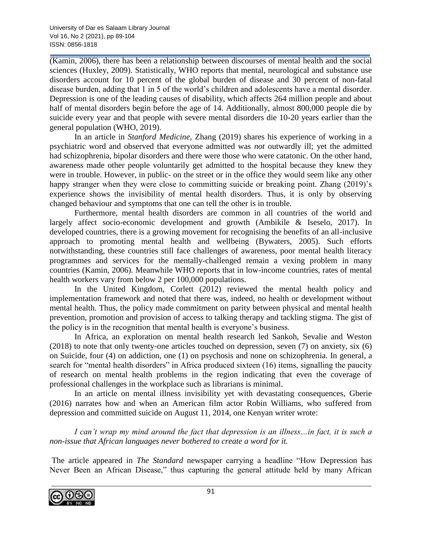(Kamin, 2006), there has been a relationship between discourses of mental health and the social sciences (Huxley, 2009). Statistically, WHO reports that mental, neurological and substance use disorders account for 10 percent of the global burden of disease and 30 percent of non-fatal disease burden, adding that 1 in 5 of the world's children and adolescents have a mental disorder. Depression is one of the leading causes of disability, which affects 264 million people and about half of mental disorders begin before the age of 14. Additionally, almost 800,000 people die by suicide every year and that people with severe mental disorders die 10-20 years earlier than the general population (WHO, 2019).

In an article in *Stanford Medicine*, Zhang (2019) shares his experience of working in a psychiatric word and observed that everyone admitted was *not* outwardly ill; yet the admitted had schizophrenia, bipolar disorders and there were those who were catatonic. On the other hand, awareness made other people voluntarily get admitted to the hospital because they knew they were in trouble. However, in public- on the street or in the office they would seem like any other happy stranger when they were close to committing suicide or breaking point. Zhang (2019)'s experience shows the invisibility of mental health disorders. Thus, it is only by observing changed behaviour and symptoms that one can tell the other is in trouble.

Furthermore, mental health disorders are common in all countries of the world and largely affect socio-economic development and growth (Ambikile & Iseselo, 2017). In developed countries, there is a growing movement for recognising the benefits of an all-inclusive approach to promoting mental health and wellbeing (Bywaters, 2005). Such efforts notwithstanding, these countries still face challenges of awareness, poor mental health literacy programmes and services for the mentally-challenged remain a vexing problem in many countries (Kamin, 2006). Meanwhile WHO reports that in low-income countries, rates of mental health workers vary from below 2 per 100,000 populations.

In the United Kingdom, Corlett (2012) reviewed the mental health policy and implementation framework and noted that there was, indeed, no health or development without mental health. Thus, the policy made commitment on parity between physical and mental health prevention, promotion and provision of access to talking therapy and tackling stigma. The gist of the policy is in the recognition that mental health is everyone's business.

In Africa, an exploration on mental health research led Sankoh, Sevalie and Weston (2018) to note that only twenty-one articles touched on depression, seven (7) on anxiety, six (6) on Suicide, four (4) on addiction, one (1) on psychosis and none on schizophrenia. In general, a search for "mental health disorders" in Africa produced sixteen (16) items, signalling the paucity of research on mental health problems in the region indicating that even the coverage of professional challenges in the workplace such as librarians is minimal.

In an article on mental illness invisibility yet with devastating consequences, Gberie (2016) narrates how and when an American film actor Robin Williams, who suffered from depression and committed suicide on August 11, 2014, one Kenyan writer wrote:

*I can't wrap my mind around the fact that depression is an illness…in fact, it is such a non-issue that African languages never bothered to create a word for it.*

The article appeared in *The Standard* newspaper carrying a headline "How Depression has Never Been an African Disease," thus capturing the general attitude held by many African

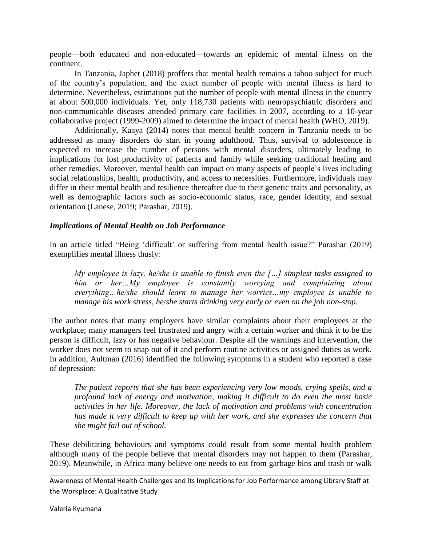people—both educated and non-educated—towards an epidemic of mental illness on the continent.

In Tanzania, Japhet (2018) proffers that mental health remains a taboo subject for much of the country's population, and the exact number of people with mental illness is hard to determine. Nevertheless, estimations put the number of people with mental illness in the country at about 500,000 individuals. Yet, only 118,730 patients with neuropsychiatric disorders and non-communicable diseases attended primary care facilities in 2007, according to a 10-year collaborative project (1999-2009) aimed to determine the impact of mental health (WHO, 2019).

Additionally, Kaaya (2014) notes that mental health concern in Tanzania needs to be addressed as many disorders do start in young adulthood. Thus, survival to adolescence is expected to increase the number of persons with mental disorders, ultimately leading to implications for lost productivity of patients and family while seeking traditional healing and other remedies. Moreover, mental health can impact on many aspects of people's lives including social relationships, health, productivity, and access to necessities. Furthermore, individuals may differ in their mental health and resilience thereafter due to their genetic traits and personality, as well as demographic factors such as socio-economic status, race, gender identity, and sexual orientation (Lanese, 2019; Parashar, 2019).

#### *Implications of Mental Health on Job Performance*

In an article titled "Being 'difficult' or suffering from mental health issue?" Parashar (2019) exemplifies mental illness thusly:

*My employee is lazy, he/she is unable to finish even the […] simplest tasks assigned to him or her…My employee is constantly worrying and complaining about everything…he/she should learn to manage her worries…my employee is unable to manage his work stress, he/she starts drinking very early or even on the job non-stop.*

The author notes that many employers have similar complaints about their employees at the workplace; many managers feel frustrated and angry with a certain worker and think it to be the person is difficult, lazy or has negative behaviour. Despite all the warnings and intervention, the worker does not seem to snap out of it and perform routine activities or assigned duties as work. In addition, Aultman (2016) identified the following symptoms in a student who reported a case of depression:

*The patient reports that she has been experiencing very low moods, crying spells, and a profound lack of energy and motivation, making it difficult to do even the most basic activities in her life. Moreover, the lack of motivation and problems with concentration has made it very difficult to keep up with her work, and she expresses the concern that she might fail out of school.*

These debilitating behaviours and symptoms could result from some mental health problem although many of the people believe that mental disorders may not happen to them (Parashar, 2019). Meanwhile, in Africa many believe one needs to eat from garbage bins and trash or walk

Awareness of Mental Health Challenges and its Implications for Job Performance among Library Staff at the Workplace: A Qualitative Study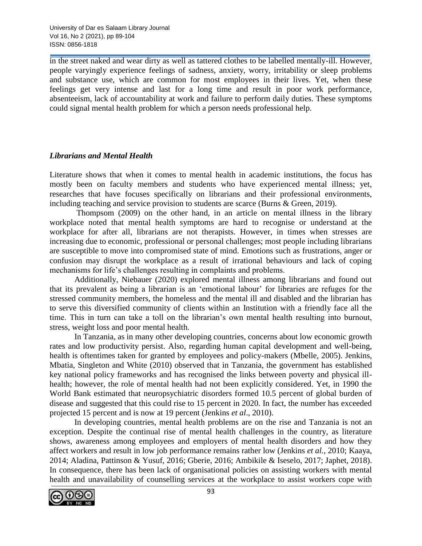in the street naked and wear dirty as well as tattered clothes to be labelled mentally-ill. However, people varyingly experience feelings of sadness, anxiety, worry, irritability or sleep problems and substance use, which are common for most employees in their lives. Yet, when these feelings get very intense and last for a long time and result in poor work performance, absenteeism, lack of accountability at work and failure to perform daily duties. These symptoms could signal mental health problem for which a person needs professional help.

## *Librarians and Mental Health*

Literature shows that when it comes to mental health in academic institutions, the focus has mostly been on faculty members and students who have experienced mental illness; yet, researches that have focuses specifically on librarians and their professional environments, including teaching and service provision to students are scarce (Burns & Green, 2019).

Thompsom (2009) on the other hand, in an article on mental illness in the library workplace noted that mental health symptoms are hard to recognise or understand at the workplace for after all, librarians are not therapists. However, in times when stresses are increasing due to economic, professional or personal challenges; most people including librarians are susceptible to move into compromised state of mind. Emotions such as frustrations, anger or confusion may disrupt the workplace as a result of irrational behaviours and lack of coping mechanisms for life's challenges resulting in complaints and problems.

Additionally, Niebauer (2020) explored mental illness among librarians and found out that its prevalent as being a librarian is an 'emotional labour' for libraries are refuges for the stressed community members, the homeless and the mental ill and disabled and the librarian has to serve this diversified community of clients within an Institution with a friendly face all the time. This in turn can take a toll on the librarian's own mental health resulting into burnout, stress, weight loss and poor mental health.

In Tanzania, as in many other developing countries, concerns about low economic growth rates and low productivity persist. Also, regarding human capital development and well-being, health is oftentimes taken for granted by employees and policy-makers (Mbelle, 2005). Jenkins, Mbatia, Singleton and White (2010) observed that in Tanzania, the government has established key national policy frameworks and has recognised the links between poverty and physical illhealth; however, the role of mental health had not been explicitly considered. Yet, in 1990 the World Bank estimated that neuropsychiatric disorders formed 10.5 percent of global burden of disease and suggested that this could rise to 15 percent in 2020. In fact, the number has exceeded projected 15 percent and is now at 19 percent (Jenkins *et al*., 2010).

In developing countries, mental health problems are on the rise and Tanzania is not an exception. Despite the continual rise of mental health challenges in the country, as literature shows, awareness among employees and employers of mental health disorders and how they affect workers and result in low job performance remains rather low (Jenkins *et al.,* 2010; Kaaya, 2014; Aladina, Pattinson & Yusuf, 2016; Gberie, 2016; Ambikile & Iseselo, 2017; Japhet, 2018). In consequence, there has been lack of organisational policies on assisting workers with mental health and unavailability of counselling services at the workplace to assist workers cope with

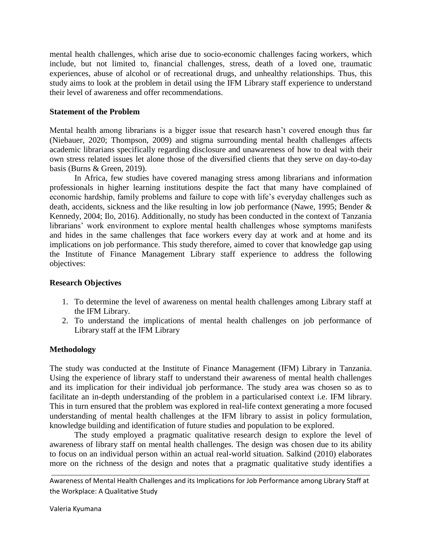mental health challenges, which arise due to socio-economic challenges facing workers, which include, but not limited to, financial challenges, stress, death of a loved one, traumatic experiences, abuse of alcohol or of recreational drugs, and unhealthy relationships. Thus, this study aims to look at the problem in detail using the IFM Library staff experience to understand their level of awareness and offer recommendations.

#### **Statement of the Problem**

Mental health among librarians is a bigger issue that research hasn't covered enough thus far (Niebauer, 2020; Thompson, 2009) and stigma surrounding mental health challenges affects academic librarians specifically regarding disclosure and unawareness of how to deal with their own stress related issues let alone those of the diversified clients that they serve on day-to-day basis (Burns & Green, 2019).

In Africa, few studies have covered managing stress among librarians and information professionals in higher learning institutions despite the fact that many have complained of economic hardship, family problems and failure to cope with life's everyday challenges such as death, accidents, sickness and the like resulting in low job performance (Nawe, 1995; Bender & Kennedy, 2004; Ilo, 2016). Additionally, no study has been conducted in the context of Tanzania librarians' work environment to explore mental health challenges whose symptoms manifests and hides in the same challenges that face workers every day at work and at home and its implications on job performance. This study therefore, aimed to cover that knowledge gap using the Institute of Finance Management Library staff experience to address the following objectives:

#### **Research Objectives**

- 1. To determine the level of awareness on mental health challenges among Library staff at the IFM Library.
- 2. To understand the implications of mental health challenges on job performance of Library staff at the IFM Library

## **Methodology**

The study was conducted at the Institute of Finance Management (IFM) Library in Tanzania. Using the experience of library staff to understand their awareness of mental health challenges and its implication for their individual job performance. The study area was chosen so as to facilitate an in-depth understanding of the problem in a particularised context i.e. IFM library. This in turn ensured that the problem was explored in real-life context generating a more focused understanding of mental health challenges at the IFM library to assist in policy formulation, knowledge building and identification of future studies and population to be explored.

The study employed a pragmatic qualitative research design to explore the level of awareness of library staff on mental health challenges. The design was chosen due to its ability to focus on an individual person within an actual real-world situation. Salkind (2010) elaborates more on the richness of the design and notes that a pragmatic qualitative study identifies a

Awareness of Mental Health Challenges and its Implications for Job Performance among Library Staff at the Workplace: A Qualitative Study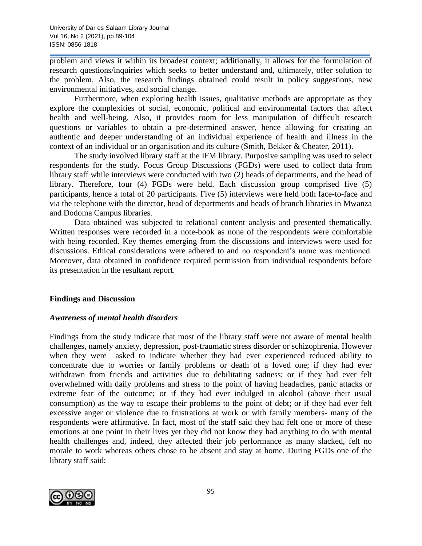problem and views it within its broadest context; additionally, it allows for the formulation of research questions/inquiries which seeks to better understand and, ultimately, offer solution to the problem. Also, the research findings obtained could result in policy suggestions, new environmental initiatives, and social change.

Furthermore, when exploring health issues, qualitative methods are appropriate as they explore the complexities of social, economic, political and environmental factors that affect health and well-being. Also, it provides room for less manipulation of difficult research questions or variables to obtain a pre-determined answer, hence allowing for creating an authentic and deeper understanding of an individual experience of health and illness in the context of an individual or an organisation and its culture (Smith, Bekker & Cheater, 2011).

The study involved library staff at the IFM library. Purposive sampling was used to select respondents for the study. Focus Group Discussions (FGDs) were used to collect data from library staff while interviews were conducted with two (2) heads of departments, and the head of library. Therefore, four (4) FGDs were held. Each discussion group comprised five (5) participants, hence a total of 20 participants. Five (5) interviews were held both face-to-face and via the telephone with the director, head of departments and heads of branch libraries in Mwanza and Dodoma Campus libraries.

Data obtained was subjected to relational content analysis and presented thematically. Written responses were recorded in a note-book as none of the respondents were comfortable with being recorded. Key themes emerging from the discussions and interviews were used for discussions. Ethical considerations were adhered to and no respondent's name was mentioned. Moreover, data obtained in confidence required permission from individual respondents before its presentation in the resultant report.

## **Findings and Discussion**

## *Awareness of mental health disorders*

Findings from the study indicate that most of the library staff were not aware of mental health challenges, namely anxiety, depression, post-traumatic stress disorder or schizophrenia. However when they were asked to indicate whether they had ever experienced reduced ability to concentrate due to worries or family problems or death of a loved one; if they had ever withdrawn from friends and activities due to debilitating sadness; or if they had ever felt overwhelmed with daily problems and stress to the point of having headaches, panic attacks or extreme fear of the outcome; or if they had ever indulged in alcohol (above their usual consumption) as the way to escape their problems to the point of debt; or if they had ever felt excessive anger or violence due to frustrations at work or with family members- many of the respondents were affirmative. In fact, most of the staff said they had felt one or more of these emotions at one point in their lives yet they did not know they had anything to do with mental health challenges and, indeed, they affected their job performance as many slacked, felt no morale to work whereas others chose to be absent and stay at home. During FGDs one of the library staff said:

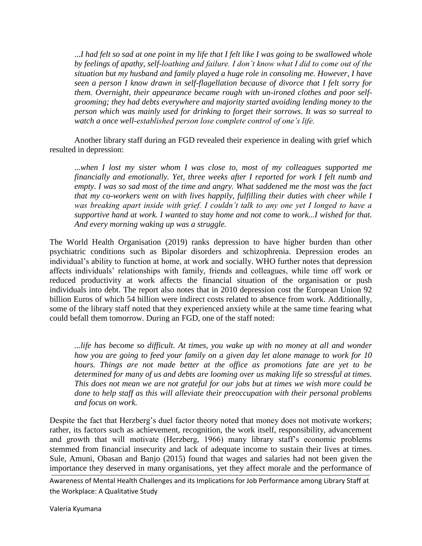...*I had felt so sad at one point in my life that I felt like I was going to be swallowed whole by feelings of apathy, self-loathing and failure. I don't know what I did to come out of the situation but my husband and family played a huge role in consoling me. However, I have seen a person I know drawn in self-flagellation because of divorce that I felt sorry for them. Overnight, their appearance became rough with un-ironed clothes and poor selfgrooming; they had debts everywhere and majority started avoiding lending money to the person which was mainly used for drinking to forget their sorrows. It was so surreal to watch a once well-established person lose complete control of one's life.*

Another library staff during an FGD revealed their experience in dealing with grief which resulted in depression:

...*when I lost my sister whom I was close to, most of my colleagues supported me financially and emotionally. Yet, three weeks after I reported for work I felt numb and empty. I was so sad most of the time and angry. What saddened me the most was the fact that my co-workers went on with lives happily, fulfilling their duties with cheer while I was breaking apart inside with grief. I couldn't talk to any one yet I longed to have a supportive hand at work. I wanted to stay home and not come to work...I wished for that. And every morning waking up was a struggle.*

The World Health Organisation (2019) ranks depression to have higher burden than other psychiatric conditions such as Bipolar disorders and schizophrenia. Depression erodes an individual's ability to function at home, at work and socially. WHO further notes that depression affects individuals' relationships with family, friends and colleagues, while time off work or reduced productivity at work affects the financial situation of the organisation or push individuals into debt. The report also notes that in 2010 depression cost the European Union 92 billion Euros of which 54 billion were indirect costs related to absence from work. Additionally, some of the library staff noted that they experienced anxiety while at the same time fearing what could befall them tomorrow. During an FGD, one of the staff noted:

*...life has become so difficult. At times, you wake up with no money at all and wonder how you are going to feed your family on a given day let alone manage to work for 10 hours. Things are not made better at the office as promotions fate are yet to be determined for many of us and debts are looming over us making life so stressful at times. This does not mean we are not grateful for our jobs but at times we wish more could be done to help staff as this will alleviate their preoccupation with their personal problems and focus on work.*

Despite the fact that Herzberg's duel factor theory noted that money does not motivate workers; rather, its factors such as achievement, recognition, the work itself, responsibility, advancement and growth that will motivate (Herzberg, 1966) many library staff's economic problems stemmed from financial insecurity and lack of adequate income to sustain their lives at times. Sule, Amuni, Obasan and Banjo (2015) found that wages and salaries had not been given the importance they deserved in many organisations, yet they affect morale and the performance of

Awareness of Mental Health Challenges and its Implications for Job Performance among Library Staff at the Workplace: A Qualitative Study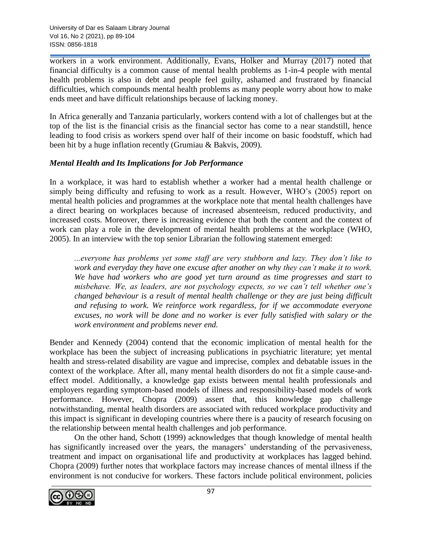workers in a work environment. Additionally, Evans, Holker and Murray (2017) noted that financial difficulty is a common cause of mental health problems as 1-in-4 people with mental health problems is also in debt and people feel guilty, ashamed and frustrated by financial difficulties, which compounds mental health problems as many people worry about how to make ends meet and have difficult relationships because of lacking money.

In Africa generally and Tanzania particularly, workers contend with a lot of challenges but at the top of the list is the financial crisis as the financial sector has come to a near standstill, hence leading to food crisis as workers spend over half of their income on basic foodstuff, which had been hit by a huge inflation recently (Grumiau & Bakvis, 2009).

## *Mental Health and Its Implications for Job Performance*

In a workplace, it was hard to establish whether a worker had a mental health challenge or simply being difficulty and refusing to work as a result. However, WHO's (2005) report on mental health policies and programmes at the workplace note that mental health challenges have a direct bearing on workplaces because of increased absenteeism, reduced productivity, and increased costs. Moreover, there is increasing evidence that both the content and the context of work can play a role in the development of mental health problems at the workplace (WHO, 2005). In an interview with the top senior Librarian the following statement emerged:

*...everyone has problems yet some staff are very stubborn and lazy. They don't like to work and everyday they have one excuse after another on why they can't make it to work. We have had workers who are good yet turn around as time progresses and start to misbehave. We, as leaders, are not psychology expects, so we can't tell whether one's changed behaviour is a result of mental health challenge or they are just being difficult and refusing to work. We reinforce work regardless, for if we accommodate everyone excuses, no work will be done and no worker is ever fully satisfied with salary or the work environment and problems never end.*

Bender and Kennedy (2004) contend that the economic implication of mental health for the workplace has been the subject of increasing publications in psychiatric literature; yet mental health and stress-related disability are vague and imprecise, complex and debatable issues in the context of the workplace. After all, many mental health disorders do not fit a simple cause-andeffect model. Additionally, a knowledge gap exists between mental health professionals and employers regarding symptom-based models of illness and responsibility-based models of work performance. However, Chopra (2009) assert that, this knowledge gap challenge notwithstanding, mental health disorders are associated with reduced workplace productivity and this impact is significant in developing countries where there is a paucity of research focusing on the relationship between mental health challenges and job performance.

On the other hand, Schott (1999) acknowledges that though knowledge of mental health has significantly increased over the years, the managers' understanding of the pervasiveness, treatment and impact on organisational life and productivity at workplaces has lagged behind. Chopra (2009) further notes that workplace factors may increase chances of mental illness if the environment is not conducive for workers. These factors include political environment, policies

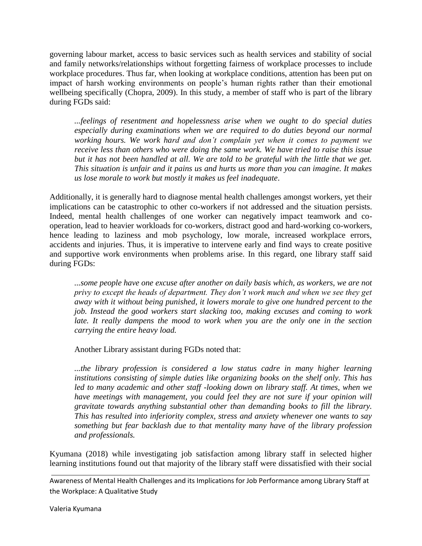governing labour market, access to basic services such as health services and stability of social and family networks/relationships without forgetting fairness of workplace processes to include workplace procedures. Thus far, when looking at workplace conditions, attention has been put on impact of harsh working environments on people's human rights rather than their emotional wellbeing specifically (Chopra, 2009). In this study, a member of staff who is part of the library during FGDs said:

*...feelings of resentment and hopelessness arise when we ought to do special duties especially during examinations when we are required to do duties beyond our normal working hours. We work hard and don't complain yet when it comes to payment we receive less than others who were doing the same work. We have tried to raise this issue*  but it has not been handled at all. We are told to be grateful with the little that we get. *This situation is unfair and it pains us and hurts us more than you can imagine. It makes us lose morale to work but mostly it makes us feel inadequate*.

Additionally, it is generally hard to diagnose mental health challenges amongst workers, yet their implications can be catastrophic to other co-workers if not addressed and the situation persists. Indeed, mental health challenges of one worker can negatively impact teamwork and cooperation, lead to heavier workloads for co-workers, distract good and hard-working co-workers, hence leading to laziness and mob psychology, low morale, increased workplace errors, accidents and injuries. Thus, it is imperative to intervene early and find ways to create positive and supportive work environments when problems arise. In this regard, one library staff said during FGDs:

*...some people have one excuse after another on daily basis which, as workers, we are not privy to except the heads of department. They don't work much and when we see they get away with it without being punished, it lowers morale to give one hundred percent to the job. Instead the good workers start slacking too, making excuses and coming to work*  late. It really dampens the mood to work when you are the only one in the section *carrying the entire heavy load.*

Another Library assistant during FGDs noted that:

*...the library profession is considered a low status cadre in many higher learning institutions consisting of simple duties like organizing books on the shelf only. This has*  led to many academic and other staff -looking down on library staff. At times, when we have meetings with management, you could feel they are not sure if your opinion will *gravitate towards anything substantial other than demanding books to fill the library. This has resulted into inferiority complex, stress and anxiety whenever one wants to say something but fear backlash due to that mentality many have of the library profession and professionals.*

Kyumana (2018) while investigating job satisfaction among library staff in selected higher learning institutions found out that majority of the library staff were dissatisfied with their social

Awareness of Mental Health Challenges and its Implications for Job Performance among Library Staff at the Workplace: A Qualitative Study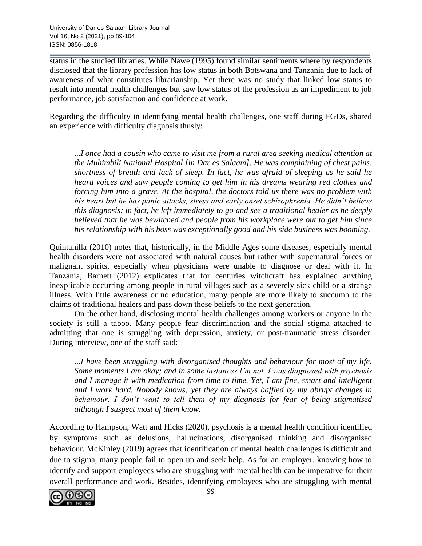status in the studied libraries. While Nawe (1995) found similar sentiments where by respondents disclosed that the library profession has low status in both Botswana and Tanzania due to lack of awareness of what constitutes librarianship. Yet there was no study that linked low status to result into mental health challenges but saw low status of the profession as an impediment to job performance, job satisfaction and confidence at work.

Regarding the difficulty in identifying mental health challenges, one staff during FGDs, shared an experience with difficulty diagnosis thusly:

*...I once had a cousin who came to visit me from a rural area seeking medical attention at the Muhimbili National Hospital [in Dar es Salaam]. He was complaining of chest pains, shortness of breath and lack of sleep. In fact, he was afraid of sleeping as he said he heard voices and saw people coming to get him in his dreams wearing red clothes and forcing him into a grave. At the hospital, the doctors told us there was no problem with his heart but he has panic attacks, stress and early onset schizophrenia. He didn't believe this diagnosis; in fact, he left immediately to go and see a traditional healer as he deeply believed that he was bewitched and people from his workplace were out to get him since his relationship with his boss was exceptionally good and his side business was booming.*

Quintanilla (2010) notes that, historically, in the Middle Ages some diseases, especially mental health disorders were not associated with natural causes but rather with supernatural forces or malignant spirits, especially when physicians were unable to diagnose or deal with it. In Tanzania, Barnett (2012) explicates that for centuries witchcraft has explained anything inexplicable occurring among people in rural villages such as a severely sick child or a strange illness. With little awareness or no education, many people are more likely to succumb to the claims of traditional healers and pass down those beliefs to the next generation.

On the other hand, disclosing mental health challenges among workers or anyone in the society is still a taboo. Many people fear discrimination and the social stigma attached to admitting that one is struggling with depression, anxiety, or post-traumatic stress disorder. During interview, one of the staff said:

*...I have been struggling with disorganised thoughts and behaviour for most of my life. Some moments I am okay; and in some instances I'm not. I was diagnosed with psychosis and I manage it with medication from time to time. Yet, I am fine, smart and intelligent and I work hard. Nobody knows; yet they are always baffled by my abrupt changes in behaviour. I don't want to tell them of my diagnosis for fear of being stigmatised although I suspect most of them know.*

According to Hampson, Watt and Hicks (2020), psychosis is a mental health condition identified by symptoms such as delusions, hallucinations, disorganised thinking and disorganised behaviour. McKinley (2019) agrees that identification of mental health challenges is difficult and due to stigma, many people fail to open up and seek help. As for an employer, knowing how to identify and support employees who are struggling with mental health can be imperative for their overall performance and work. Besides, identifying employees who are struggling with mental

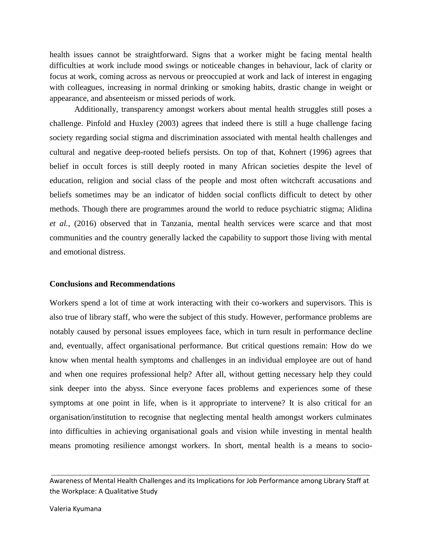health issues cannot be straightforward. Signs that a worker might be facing mental health difficulties at work include mood swings or noticeable changes in behaviour, lack of clarity or focus at work, coming across as nervous or preoccupied at work and lack of interest in engaging with colleagues, increasing in normal drinking or smoking habits, drastic change in weight or appearance, and absenteeism or missed periods of work.

Additionally, transparency amongst workers about mental health struggles still poses a challenge. Pinfold and Huxley (2003) agrees that indeed there is still a huge challenge facing society regarding social stigma and discrimination associated with mental health challenges and cultural and negative deep-rooted beliefs persists. On top of that, Kohnert (1996) agrees that belief in occult forces is still deeply rooted in many African societies despite the level of education, religion and social class of the people and most often witchcraft accusations and beliefs sometimes may be an indicator of hidden social conflicts difficult to detect by other methods. Though there are programmes around the world to reduce psychiatric stigma; Alidina *et al.,* (2016) observed that in Tanzania, mental health services were scarce and that most communities and the country generally lacked the capability to support those living with mental and emotional distress.

#### **Conclusions and Recommendations**

Workers spend a lot of time at work interacting with their co-workers and supervisors. This is also true of library staff, who were the subject of this study. However, performance problems are notably caused by personal issues employees face, which in turn result in performance decline and, eventually, affect organisational performance. But critical questions remain: How do we know when mental health symptoms and challenges in an individual employee are out of hand and when one requires professional help? After all, without getting necessary help they could sink deeper into the abyss. Since everyone faces problems and experiences some of these symptoms at one point in life, when is it appropriate to intervene? It is also critical for an organisation/institution to recognise that neglecting mental health amongst workers culminates into difficulties in achieving organisational goals and vision while investing in mental health means promoting resilience amongst workers. In short, mental health is a means to socio-

Awareness of Mental Health Challenges and its Implications for Job Performance among Library Staff at the Workplace: A Qualitative Study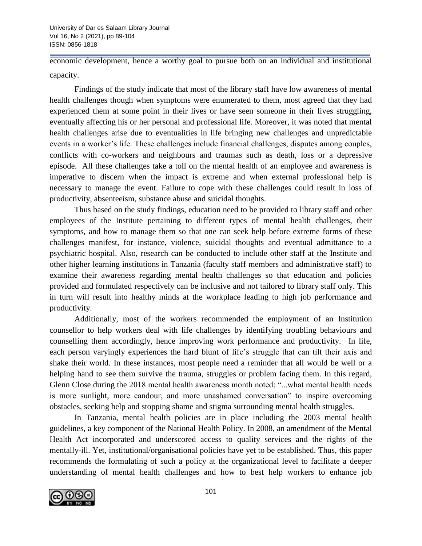economic development, hence a worthy goal to pursue both on an individual and institutional capacity.

Findings of the study indicate that most of the library staff have low awareness of mental health challenges though when symptoms were enumerated to them, most agreed that they had experienced them at some point in their lives or have seen someone in their lives struggling, eventually affecting his or her personal and professional life. Moreover, it was noted that mental health challenges arise due to eventualities in life bringing new challenges and unpredictable events in a worker's life. These challenges include financial challenges, disputes among couples, conflicts with co-workers and neighbours and traumas such as death, loss or a depressive episode. All these challenges take a toll on the mental health of an employee and awareness is imperative to discern when the impact is extreme and when external professional help is necessary to manage the event. Failure to cope with these challenges could result in loss of productivity, absenteeism, substance abuse and suicidal thoughts.

Thus based on the study findings, education need to be provided to library staff and other employees of the Institute pertaining to different types of mental health challenges, their symptoms, and how to manage them so that one can seek help before extreme forms of these challenges manifest, for instance, violence, suicidal thoughts and eventual admittance to a psychiatric hospital. Also, research can be conducted to include other staff at the Institute and other higher learning institutions in Tanzania (faculty staff members and administrative staff) to examine their awareness regarding mental health challenges so that education and policies provided and formulated respectively can be inclusive and not tailored to library staff only. This in turn will result into healthy minds at the workplace leading to high job performance and productivity.

Additionally, most of the workers recommended the employment of an Institution counsellor to help workers deal with life challenges by identifying troubling behaviours and counselling them accordingly, hence improving work performance and productivity. In life, each person varyingly experiences the hard blunt of life's struggle that can tilt their axis and shake their world. In these instances, most people need a reminder that all would be well or a helping hand to see them survive the trauma, struggles or problem facing them. In this regard, Glenn Close during the 2018 mental health awareness month noted: "...what mental health needs is more sunlight, more candour, and more unashamed conversation" to inspire overcoming obstacles, seeking help and stopping shame and stigma surrounding mental health struggles.

In Tanzania, mental health policies are in place including the 2003 mental health guidelines, a key component of the National Health Policy. In 2008, an amendment of the Mental Health Act incorporated and underscored access to quality services and the rights of the mentally-ill. Yet, institutional/organisational policies have yet to be established. Thus, this paper recommends the formulating of such a policy at the organizational level to facilitate a deeper understanding of mental health challenges and how to best help workers to enhance job

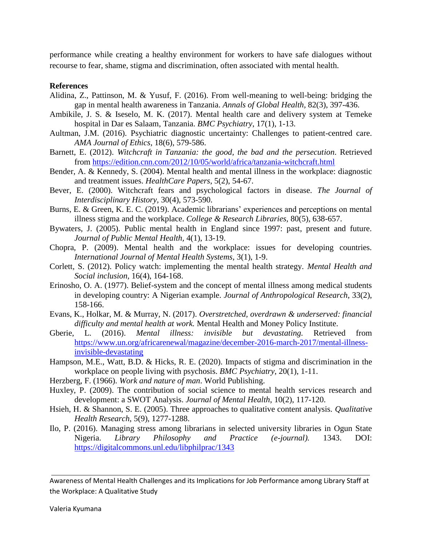performance while creating a healthy environment for workers to have safe dialogues without recourse to fear, shame, stigma and discrimination, often associated with mental health.

#### **References**

- Alidina, Z., Pattinson, M. & Yusuf, F. (2016). From well-meaning to well-being: bridging the gap in mental health awareness in Tanzania. *Annals of Global Health,* 82(3), 397-436.
- Ambikile, J. S. & Iseselo, M. K. (2017). Mental health care and delivery system at Temeke hospital in Dar es Salaam, Tanzania. *BMC Psychiatry*, 17(1), 1-13.
- Aultman, J.M. (2016). Psychiatric diagnostic uncertainty: Challenges to patient-centred care. *AMA Journal of Ethics*, 18(6), 579-586.
- Barnett, E. (2012). *Witchcraft in Tanzania: the good, the bad and the persecution*. Retrieved from<https://edition.cnn.com/2012/10/05/world/africa/tanzania-witchcraft.html>
- Bender, A. & Kennedy, S. (2004). Mental health and mental illness in the workplace: diagnostic and treatment issues. *HealthCare Papers*, 5(2), 54-67.
- Bever, E. (2000). Witchcraft fears and psychological factors in disease. *The Journal of Interdisciplinary History,* 30(4), 573-590.
- Burns, E. & Green, K. E. C. (2019). Academic librarians' experiences and perceptions on mental illness stigma and the workplace. *College & Research Libraries,* 80(5), 638-657.
- Bywaters, J. (2005). Public mental health in England since 1997: past, present and future. *Journal of Public Mental Health,* 4(1), 13-19.
- Chopra, P. (2009). Mental health and the workplace: issues for developing countries. *International Journal of Mental Health Systems*, 3(1), 1-9.
- Corlett, S. (2012). Policy watch: implementing the mental health strategy. *Mental Health and Social inclusion,* 16(4), 164-168.
- Erinosho, O. A. (1977). Belief-system and the concept of mental illness among medical students in developing country: A Nigerian example. *Journal of Anthropological Research*, 33(2), 158-166.
- Evans, K., Holkar, M. & Murray, N. (2017). *Overstretched, overdrawn & underserved: financial difficulty and mental health at work.* Mental Health and Money Policy Institute.
- Gberie, L. (2016). *Mental illness: invisible but devastating.* Retrieved from [https://www.un.org/africarenewal/magazine/december-2016-march-2017/mental-illness](https://www.un.org/africarenewal/magazine/december-2016-march-2017/mental-illness-invisible-devastating)[invisible-devastating](https://www.un.org/africarenewal/magazine/december-2016-march-2017/mental-illness-invisible-devastating)
- Hampson, M.E., Watt, B.D. & Hicks, R. E. (2020). Impacts of stigma and discrimination in the workplace on people living with psychosis. *BMC Psychiatry*, 20(1), 1-11.
- Herzberg, F. (1966). *Work and nature of man*. World Publishing.
- Huxley, P. (2009). The contribution of social science to mental health services research and development: a SWOT Analysis. *Journal of Mental Health*, 10(2), 117-120.
- Hsieh, H. & Shannon, S. E. (2005). Three approaches to qualitative content analysis. *Qualitative Health Research*, 5(9), 1277-1288.
- Ilo, P. (2016). Managing stress among librarians in selected university libraries in Ogun State Nigeria. *Library Philosophy and Practice (e-journal).* 1343. DOI: <https://digitalcommons.unl.edu/libphilprac/1343>

Awareness of Mental Health Challenges and its Implications for Job Performance among Library Staff at the Workplace: A Qualitative Study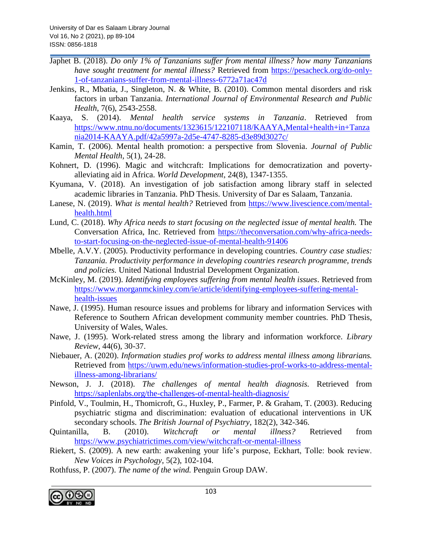- Japhet B. (2018). *Do only 1% of Tanzanians suffer from mental illness? how many Tanzanians have sought treatment for mental illness?* Retrieved from [https://pesacheck.org/do-only-](https://pesacheck.org/do-only-1-of-tanzanians-suffer-from-mental-illness-6772a71ac47d)[1-of-tanzanians-suffer-from-mental-illness-6772a71ac47d](https://pesacheck.org/do-only-1-of-tanzanians-suffer-from-mental-illness-6772a71ac47d)
- Jenkins, R., Mbatia, J., Singleton, N. & White, B. (2010). Common mental disorders and risk factors in urban Tanzania. *International Journal of Environmental Research and Public Health*, 7(6), 2543-2558.
- Kaaya, S. (2014). *Mental health service systems in Tanzania*. Retrieved from [https://www.ntnu.no/documents/1323615/122107118/KAAYA,Mental+health+in+Tanza](about:blank) [nia2014-KAAYA.pdf/42a5997a-2d5e-4747-8285-d3e89d3027c/](about:blank)
- Kamin, T. (2006). Mental health promotion: a perspective from Slovenia. *Journal of Public Mental Health,* 5(1), 24-28.
- Kohnert, D. (1996). Magic and witchcraft: Implications for democratization and povertyalleviating aid in Africa. *World Development*, 24(8), 1347-1355.
- Kyumana, V. (2018). An investigation of job satisfaction among library staff in selected academic libraries in Tanzania. PhD Thesis. University of Dar es Salaam, Tanzania.
- Lanese, N. (2019). *What is mental health?* Retrieved from [https://www.livescience.com/mental](https://www.livescience.com/mental-health.html)[health.html](https://www.livescience.com/mental-health.html)
- Lund, C. (2018). *Why Africa needs to start focusing on the neglected issue of mental health.* The Conversation Africa, Inc. Retrieved from [https://theconversation.com/why-africa-needs](https://theconversation.com/why-africa-needs-to-start-focusing-on-the-neglected-issue-of-mental-health-91406)[to-start-focusing-on-the-neglected-issue-of-mental-health-91406](https://theconversation.com/why-africa-needs-to-start-focusing-on-the-neglected-issue-of-mental-health-91406)
- Mbelle, A.V.Y. (2005). Productivity performance in developing countries. *Country case studies: Tanzania. Productivity performance in developing countries research programme, trends and policies.* United National Industrial Development Organization.
- McKinley, M. (2019). *Identifying employees suffering from mental health issues*. Retrieved from [https://www.morganmckinley.com/ie/article/identifying-employees-suffering-mental](https://www.morganmckinley.com/ie/article/identifying-employees-suffering-mental-health-issues)[health-issues](https://www.morganmckinley.com/ie/article/identifying-employees-suffering-mental-health-issues)
- Nawe, J. (1995). Human resource issues and problems for library and information Services with Reference to Southern African development community member countries. PhD Thesis, University of Wales, Wales.
- Nawe, J. (1995). Work-related stress among the library and information workforce. *Library Review,* 44(6), 30-37.
- Niebauer, A. (2020). *Information studies prof works to address mental illness among librarians.* Retrieved from [https://uwm.edu/news/information-studies-prof-works-to-address-mental](https://uwm.edu/news/information-studies-prof-works-to-address-mental-illness-among-librarians/)[illness-among-librarians/](https://uwm.edu/news/information-studies-prof-works-to-address-mental-illness-among-librarians/)
- Newson, J. J. (2018). *The challenges of mental health diagnosis.* Retrieved from [https://saplenlabs.org/the-challenges-of-mental-health-diagnosis/](about:blank)
- Pinfold, V., Toulmin, H., Thomicroft, G., Huxley, P., Farmer, P. & Graham, T. (2003). Reducing psychiatric stigma and discrimination: evaluation of educational interventions in UK secondary schools. *The British Journal of Psychiatry*, 182(2), 342-346.
- Quintanilla, B. (2010). *Witchcraft or mental illness?* Retrieved from <https://www.psychiatrictimes.com/view/witchcraft-or-mental-illness>
- Riekert, S. (2009). A new earth: awakening your life's purpose, Eckhart, Tolle: book review. *New Voices in Psychology*, 5(2), 102-104.
- Rothfuss, P. (2007). *The name of the wind.* Penguin Group DAW.